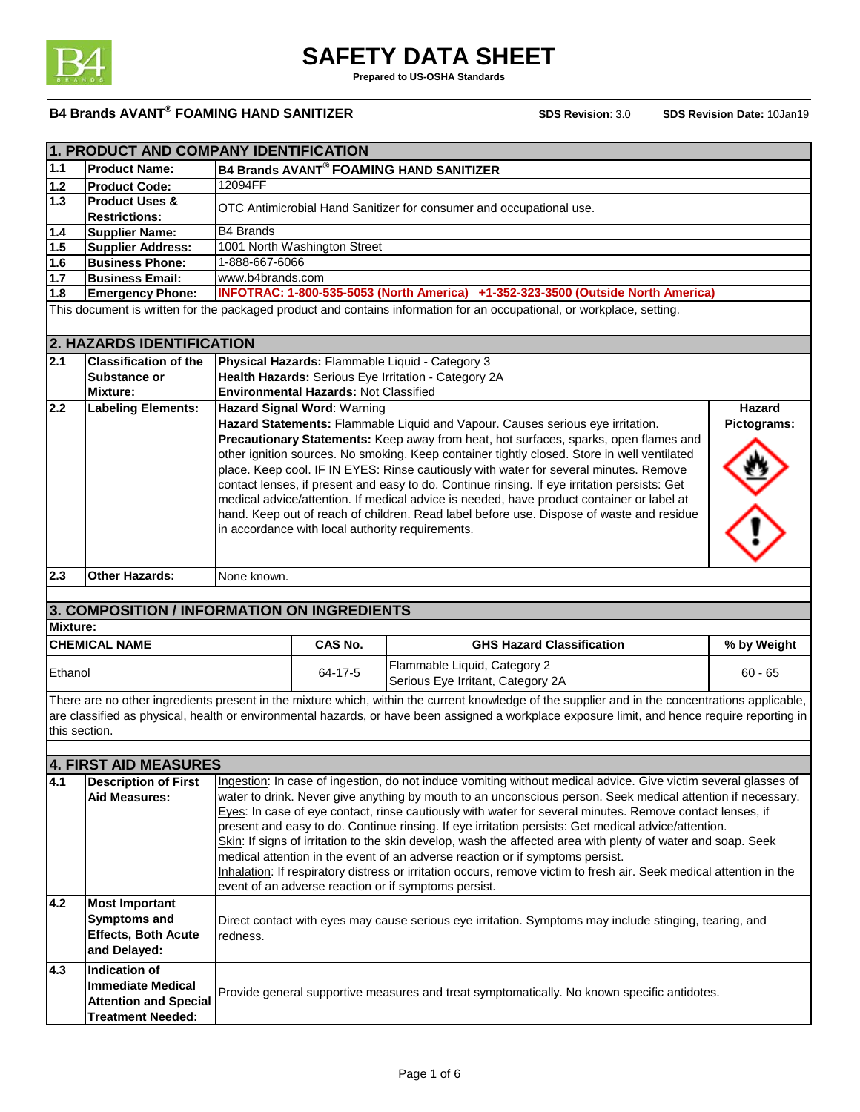

**Prepared to US-OSHA Standards**

|                                                                                                                     | 1. PRODUCT AND COMPANY IDENTIFICATION                                                                                         |                                                                                                             |                                              |                                                                                                                                                 |               |
|---------------------------------------------------------------------------------------------------------------------|-------------------------------------------------------------------------------------------------------------------------------|-------------------------------------------------------------------------------------------------------------|----------------------------------------------|-------------------------------------------------------------------------------------------------------------------------------------------------|---------------|
| 1.1                                                                                                                 | <b>Product Name:</b>                                                                                                          | <b>B4 Brands AVANT® FOAMING HAND SANITIZER</b>                                                              |                                              |                                                                                                                                                 |               |
| $1.2$                                                                                                               | <b>Product Code:</b>                                                                                                          | 12094FF                                                                                                     |                                              |                                                                                                                                                 |               |
| 1.3                                                                                                                 | <b>Product Uses &amp;</b>                                                                                                     |                                                                                                             |                                              | OTC Antimicrobial Hand Sanitizer for consumer and occupational use.                                                                             |               |
|                                                                                                                     | <b>Restrictions:</b>                                                                                                          | <b>B4 Brands</b>                                                                                            |                                              |                                                                                                                                                 |               |
| $\overline{1.4}$<br>1.5                                                                                             | <b>Supplier Name:</b><br><b>Supplier Address:</b>                                                                             |                                                                                                             | 1001 North Washington Street                 |                                                                                                                                                 |               |
| 1.6                                                                                                                 | <b>Business Phone:</b>                                                                                                        | 1-888-667-6066                                                                                              |                                              |                                                                                                                                                 |               |
| $1.7$                                                                                                               | <b>Business Email:</b>                                                                                                        | www.b4brands.com                                                                                            |                                              |                                                                                                                                                 |               |
| 1.8                                                                                                                 | <b>Emergency Phone:</b>                                                                                                       |                                                                                                             |                                              | INFOTRAC: 1-800-535-5053 (North America) +1-352-323-3500 (Outside North America)                                                                |               |
|                                                                                                                     |                                                                                                                               |                                                                                                             |                                              | This document is written for the packaged product and contains information for an occupational, or workplace, setting.                          |               |
|                                                                                                                     |                                                                                                                               |                                                                                                             |                                              |                                                                                                                                                 |               |
|                                                                                                                     | 2. HAZARDS IDENTIFICATION                                                                                                     |                                                                                                             |                                              |                                                                                                                                                 |               |
| 2.1                                                                                                                 | <b>Classification of the</b>                                                                                                  |                                                                                                             |                                              | Physical Hazards: Flammable Liquid - Category 3                                                                                                 |               |
|                                                                                                                     | Substance or                                                                                                                  |                                                                                                             |                                              | Health Hazards: Serious Eye Irritation - Category 2A                                                                                            |               |
|                                                                                                                     | <b>Mixture:</b>                                                                                                               |                                                                                                             | <b>Environmental Hazards: Not Classified</b> |                                                                                                                                                 |               |
| 2.2                                                                                                                 | <b>Labeling Elements:</b>                                                                                                     |                                                                                                             | Hazard Signal Word: Warning                  |                                                                                                                                                 | <b>Hazard</b> |
|                                                                                                                     |                                                                                                                               |                                                                                                             |                                              | Hazard Statements: Flammable Liquid and Vapour. Causes serious eye irritation.                                                                  | Pictograms:   |
|                                                                                                                     |                                                                                                                               |                                                                                                             |                                              | Precautionary Statements: Keep away from heat, hot surfaces, sparks, open flames and                                                            |               |
|                                                                                                                     |                                                                                                                               |                                                                                                             |                                              | other ignition sources. No smoking. Keep container tightly closed. Store in well ventilated                                                     |               |
|                                                                                                                     |                                                                                                                               |                                                                                                             |                                              | place. Keep cool. IF IN EYES: Rinse cautiously with water for several minutes. Remove                                                           |               |
|                                                                                                                     |                                                                                                                               |                                                                                                             |                                              | contact lenses, if present and easy to do. Continue rinsing. If eye irritation persists: Get                                                    |               |
|                                                                                                                     |                                                                                                                               |                                                                                                             |                                              | medical advice/attention. If medical advice is needed, have product container or label at                                                       |               |
|                                                                                                                     |                                                                                                                               |                                                                                                             |                                              | hand. Keep out of reach of children. Read label before use. Dispose of waste and residue                                                        |               |
|                                                                                                                     |                                                                                                                               |                                                                                                             |                                              | in accordance with local authority requirements.                                                                                                |               |
|                                                                                                                     |                                                                                                                               |                                                                                                             |                                              |                                                                                                                                                 |               |
|                                                                                                                     |                                                                                                                               |                                                                                                             |                                              |                                                                                                                                                 |               |
| 2.3                                                                                                                 | <b>Other Hazards:</b>                                                                                                         | None known.                                                                                                 |                                              |                                                                                                                                                 |               |
|                                                                                                                     |                                                                                                                               |                                                                                                             |                                              |                                                                                                                                                 |               |
|                                                                                                                     | 3. COMPOSITION / INFORMATION ON INGREDIENTS                                                                                   |                                                                                                             |                                              |                                                                                                                                                 |               |
| <b>Mixture:</b>                                                                                                     |                                                                                                                               |                                                                                                             |                                              |                                                                                                                                                 |               |
|                                                                                                                     | <b>CHEMICAL NAME</b>                                                                                                          |                                                                                                             | <b>CAS No.</b>                               | <b>GHS Hazard Classification</b>                                                                                                                | % by Weight   |
|                                                                                                                     |                                                                                                                               |                                                                                                             |                                              | Flammable Liquid, Category 2                                                                                                                    |               |
| Ethanol                                                                                                             |                                                                                                                               |                                                                                                             | 64-17-5                                      | Serious Eye Irritant, Category 2A                                                                                                               | $60 - 65$     |
|                                                                                                                     |                                                                                                                               |                                                                                                             |                                              | There are no other ingredients present in the mixture which, within the current knowledge of the supplier and in the concentrations applicable, |               |
|                                                                                                                     |                                                                                                                               |                                                                                                             |                                              | are classified as physical, health or environmental hazards, or have been assigned a workplace exposure limit, and hence require reporting in   |               |
| this section.                                                                                                       |                                                                                                                               |                                                                                                             |                                              |                                                                                                                                                 |               |
|                                                                                                                     |                                                                                                                               |                                                                                                             |                                              |                                                                                                                                                 |               |
|                                                                                                                     | <b>4. FIRST AID MEASURES</b>                                                                                                  |                                                                                                             |                                              |                                                                                                                                                 |               |
| 4.1                                                                                                                 | <b>Description of First</b>                                                                                                   |                                                                                                             |                                              | Ingestion: In case of ingestion, do not induce vomiting without medical advice. Give victim several glasses of                                  |               |
|                                                                                                                     | <b>Aid Measures:</b>                                                                                                          | water to drink. Never give anything by mouth to an unconscious person. Seek medical attention if necessary. |                                              |                                                                                                                                                 |               |
|                                                                                                                     |                                                                                                                               | Eyes: In case of eye contact, rinse cautiously with water for several minutes. Remove contact lenses, if    |                                              |                                                                                                                                                 |               |
|                                                                                                                     |                                                                                                                               |                                                                                                             |                                              | present and easy to do. Continue rinsing. If eye irritation persists: Get medical advice/attention.                                             |               |
|                                                                                                                     |                                                                                                                               |                                                                                                             |                                              | Skin: If signs of irritation to the skin develop, wash the affected area with plenty of water and soap. Seek                                    |               |
|                                                                                                                     |                                                                                                                               |                                                                                                             |                                              | medical attention in the event of an adverse reaction or if symptoms persist.                                                                   |               |
| Inhalation: If respiratory distress or irritation occurs, remove victim to fresh air. Seek medical attention in the |                                                                                                                               |                                                                                                             |                                              |                                                                                                                                                 |               |
|                                                                                                                     |                                                                                                                               |                                                                                                             |                                              | event of an adverse reaction or if symptoms persist.                                                                                            |               |
| 4.2                                                                                                                 | <b>Most Important</b>                                                                                                         |                                                                                                             |                                              |                                                                                                                                                 |               |
|                                                                                                                     | <b>Symptoms and</b><br>Direct contact with eyes may cause serious eye irritation. Symptoms may include stinging, tearing, and |                                                                                                             |                                              |                                                                                                                                                 |               |
|                                                                                                                     | <b>Effects, Both Acute</b>                                                                                                    | redness.                                                                                                    |                                              |                                                                                                                                                 |               |
|                                                                                                                     | and Delayed:                                                                                                                  |                                                                                                             |                                              |                                                                                                                                                 |               |
| 4.3                                                                                                                 | <b>Indication of</b>                                                                                                          |                                                                                                             |                                              |                                                                                                                                                 |               |
|                                                                                                                     |                                                                                                                               |                                                                                                             |                                              |                                                                                                                                                 |               |
|                                                                                                                     |                                                                                                                               |                                                                                                             |                                              |                                                                                                                                                 |               |
|                                                                                                                     | <b>Immediate Medical</b><br><b>Attention and Special</b>                                                                      |                                                                                                             |                                              | Provide general supportive measures and treat symptomatically. No known specific antidotes.                                                     |               |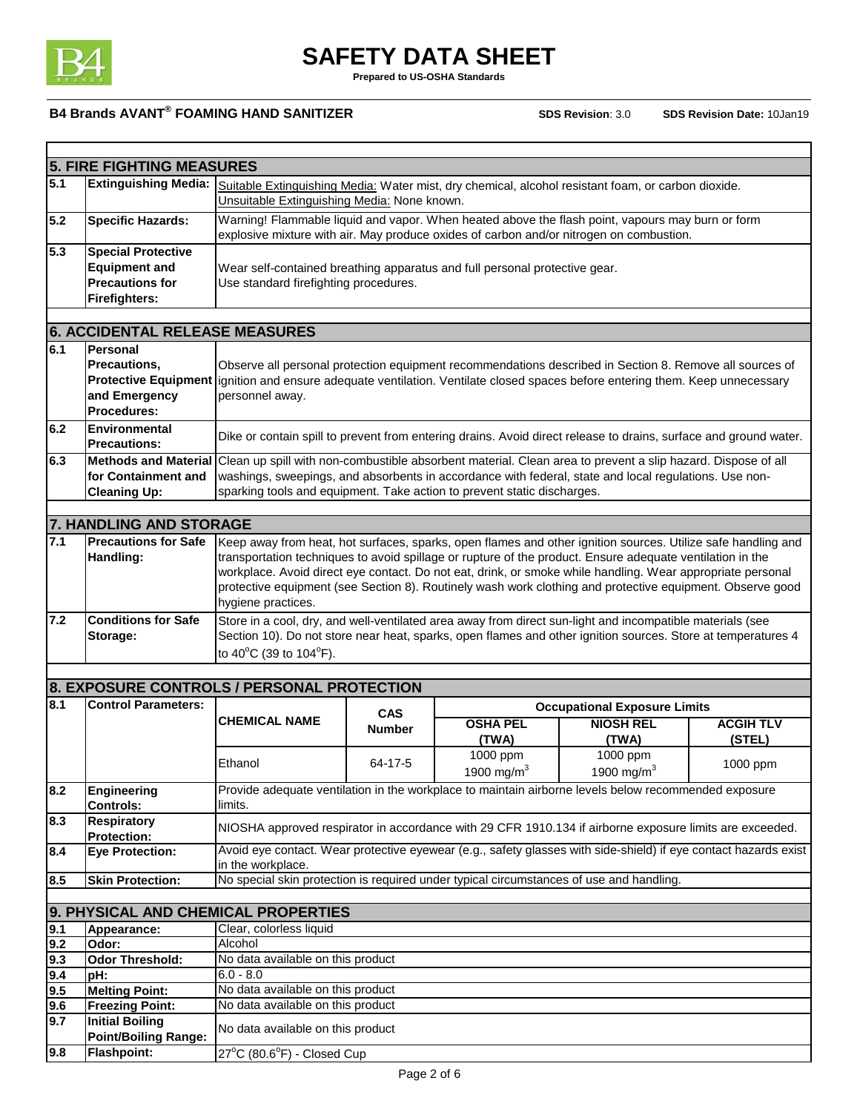

**Prepared to US-OSHA Standards**

|            | <b>5. FIRE FIGHTING MEASURES</b>                                                                                               |                                                                                                                                                                                             |               |                 |                                                                                                                                                                                                                         |                  |
|------------|--------------------------------------------------------------------------------------------------------------------------------|---------------------------------------------------------------------------------------------------------------------------------------------------------------------------------------------|---------------|-----------------|-------------------------------------------------------------------------------------------------------------------------------------------------------------------------------------------------------------------------|------------------|
| 5.1        | <b>Extinguishing Media:</b>                                                                                                    | Suitable Extinguishing Media: Water mist, dry chemical, alcohol resistant foam, or carbon dioxide.<br>Unsuitable Extinguishing Media: None known.                                           |               |                 |                                                                                                                                                                                                                         |                  |
| 5.2        | <b>Specific Hazards:</b>                                                                                                       | Warning! Flammable liquid and vapor. When heated above the flash point, vapours may burn or form<br>explosive mixture with air. May produce oxides of carbon and/or nitrogen on combustion. |               |                 |                                                                                                                                                                                                                         |                  |
| 5.3        | <b>Special Protective</b>                                                                                                      |                                                                                                                                                                                             |               |                 |                                                                                                                                                                                                                         |                  |
|            | <b>Equipment and</b>                                                                                                           | Wear self-contained breathing apparatus and full personal protective gear.                                                                                                                  |               |                 |                                                                                                                                                                                                                         |                  |
|            | <b>Precautions for</b>                                                                                                         | Use standard firefighting procedures.                                                                                                                                                       |               |                 |                                                                                                                                                                                                                         |                  |
|            | <b>Firefighters:</b>                                                                                                           |                                                                                                                                                                                             |               |                 |                                                                                                                                                                                                                         |                  |
|            |                                                                                                                                |                                                                                                                                                                                             |               |                 |                                                                                                                                                                                                                         |                  |
|            | <b>6. ACCIDENTAL RELEASE MEASURES</b>                                                                                          |                                                                                                                                                                                             |               |                 |                                                                                                                                                                                                                         |                  |
| 6.1        | <b>Personal</b>                                                                                                                |                                                                                                                                                                                             |               |                 |                                                                                                                                                                                                                         |                  |
|            | <b>Precautions.</b>                                                                                                            |                                                                                                                                                                                             |               |                 | Observe all personal protection equipment recommendations described in Section 8. Remove all sources of                                                                                                                 |                  |
|            | Protective Equipment lignition and ensure adequate ventilation. Ventilate closed spaces before entering them. Keep unnecessary |                                                                                                                                                                                             |               |                 |                                                                                                                                                                                                                         |                  |
|            | and Emergency                                                                                                                  | personnel away.                                                                                                                                                                             |               |                 |                                                                                                                                                                                                                         |                  |
|            | Procedures:                                                                                                                    |                                                                                                                                                                                             |               |                 |                                                                                                                                                                                                                         |                  |
| 6.2        | Environmental<br><b>Precautions:</b>                                                                                           |                                                                                                                                                                                             |               |                 | Dike or contain spill to prevent from entering drains. Avoid direct release to drains, surface and ground water.                                                                                                        |                  |
| 6.3        | <b>Methods and Material</b>                                                                                                    | Clean up spill with non-combustible absorbent material. Clean area to prevent a slip hazard. Dispose of all                                                                                 |               |                 |                                                                                                                                                                                                                         |                  |
|            | for Containment and                                                                                                            |                                                                                                                                                                                             |               |                 | washings, sweepings, and absorbents in accordance with federal, state and local regulations. Use non-                                                                                                                   |                  |
|            | <b>Cleaning Up:</b>                                                                                                            | sparking tools and equipment. Take action to prevent static discharges.                                                                                                                     |               |                 |                                                                                                                                                                                                                         |                  |
|            | 7. HANDLING AND STORAGE                                                                                                        |                                                                                                                                                                                             |               |                 |                                                                                                                                                                                                                         |                  |
|            |                                                                                                                                |                                                                                                                                                                                             |               |                 |                                                                                                                                                                                                                         |                  |
| 7.1        | <b>Precautions for Safe</b>                                                                                                    | Keep away from heat, hot surfaces, sparks, open flames and other ignition sources. Utilize safe handling and                                                                                |               |                 |                                                                                                                                                                                                                         |                  |
|            | Handling:                                                                                                                      |                                                                                                                                                                                             |               |                 | transportation techniques to avoid spillage or rupture of the product. Ensure adequate ventilation in the                                                                                                               |                  |
|            |                                                                                                                                |                                                                                                                                                                                             |               |                 | workplace. Avoid direct eye contact. Do not eat, drink, or smoke while handling. Wear appropriate personal<br>protective equipment (see Section 8). Routinely wash work clothing and protective equipment. Observe good |                  |
|            |                                                                                                                                | hygiene practices.                                                                                                                                                                          |               |                 |                                                                                                                                                                                                                         |                  |
| 7.2        | <b>Conditions for Safe</b>                                                                                                     |                                                                                                                                                                                             |               |                 | Store in a cool, dry, and well-ventilated area away from direct sun-light and incompatible materials (see                                                                                                               |                  |
|            | Storage:                                                                                                                       |                                                                                                                                                                                             |               |                 | Section 10). Do not store near heat, sparks, open flames and other ignition sources. Store at temperatures 4                                                                                                            |                  |
|            |                                                                                                                                | to 40°C (39 to 104°F).                                                                                                                                                                      |               |                 |                                                                                                                                                                                                                         |                  |
|            |                                                                                                                                |                                                                                                                                                                                             |               |                 |                                                                                                                                                                                                                         |                  |
|            | 8. EXPOSURE CONTROLS / PERSONAL PROTECTION                                                                                     |                                                                                                                                                                                             |               |                 |                                                                                                                                                                                                                         |                  |
| 8.1        | <b>Control Parameters:</b>                                                                                                     |                                                                                                                                                                                             |               |                 | <b>Occupational Exposure Limits</b>                                                                                                                                                                                     |                  |
|            |                                                                                                                                | <b>CHEMICAL NAME</b>                                                                                                                                                                        | <b>CAS</b>    | <b>OSHA PEL</b> | <b>NIOSH REL</b>                                                                                                                                                                                                        | <b>ACGIH TLV</b> |
|            |                                                                                                                                |                                                                                                                                                                                             | <b>Number</b> | (TWA)           | (TWA)                                                                                                                                                                                                                   | (STEL)           |
|            |                                                                                                                                |                                                                                                                                                                                             |               | 1000 ppm        | 1000 ppm                                                                                                                                                                                                                |                  |
|            |                                                                                                                                | Ethanol                                                                                                                                                                                     | $64 - 17 - 5$ | 1900 mg/m $3$   | 1900 mg/m ${}^{3}$                                                                                                                                                                                                      | 1000 ppm         |
| 8.2        | Engineering                                                                                                                    | Provide adequate ventilation in the workplace to maintain airborne levels below recommended exposure                                                                                        |               |                 |                                                                                                                                                                                                                         |                  |
|            | <b>Controls:</b>                                                                                                               | limits.                                                                                                                                                                                     |               |                 |                                                                                                                                                                                                                         |                  |
| 8.3        | <b>Respiratory</b>                                                                                                             |                                                                                                                                                                                             |               |                 |                                                                                                                                                                                                                         |                  |
|            | <b>Protection:</b>                                                                                                             | NIOSHA approved respirator in accordance with 29 CFR 1910.134 if airborne exposure limits are exceeded.                                                                                     |               |                 |                                                                                                                                                                                                                         |                  |
| 8.4        | <b>Eye Protection:</b>                                                                                                         |                                                                                                                                                                                             |               |                 | Avoid eye contact. Wear protective eyewear (e.g., safety glasses with side-shield) if eye contact hazards exist                                                                                                         |                  |
|            |                                                                                                                                | in the workplace.                                                                                                                                                                           |               |                 |                                                                                                                                                                                                                         |                  |
| 8.5        | <b>Skin Protection:</b>                                                                                                        | No special skin protection is required under typical circumstances of use and handling.                                                                                                     |               |                 |                                                                                                                                                                                                                         |                  |
|            |                                                                                                                                |                                                                                                                                                                                             |               |                 |                                                                                                                                                                                                                         |                  |
|            | 9. PHYSICAL AND CHEMICAL PROPERTIES                                                                                            |                                                                                                                                                                                             |               |                 |                                                                                                                                                                                                                         |                  |
| 9.1        | Appearance:                                                                                                                    | Clear, colorless liquid                                                                                                                                                                     |               |                 |                                                                                                                                                                                                                         |                  |
| 9.2        | Odor:                                                                                                                          | Alcohol                                                                                                                                                                                     |               |                 |                                                                                                                                                                                                                         |                  |
| 9.3        | <b>Odor Threshold:</b>                                                                                                         | No data available on this product                                                                                                                                                           |               |                 |                                                                                                                                                                                                                         |                  |
| 9.4        | pH:                                                                                                                            | 6.0 - 8.0                                                                                                                                                                                   |               |                 |                                                                                                                                                                                                                         |                  |
| 9.5<br>9.6 | <b>Melting Point:</b>                                                                                                          | No data available on this product<br>No data available on this product                                                                                                                      |               |                 |                                                                                                                                                                                                                         |                  |
|            | <b>Freezing Point:</b>                                                                                                         |                                                                                                                                                                                             |               |                 |                                                                                                                                                                                                                         |                  |
|            |                                                                                                                                |                                                                                                                                                                                             |               |                 |                                                                                                                                                                                                                         |                  |
| 9.7        | <b>Initial Boiling</b><br><b>Point/Boiling Range:</b><br><b>Flashpoint:</b>                                                    | No data available on this product                                                                                                                                                           |               |                 |                                                                                                                                                                                                                         |                  |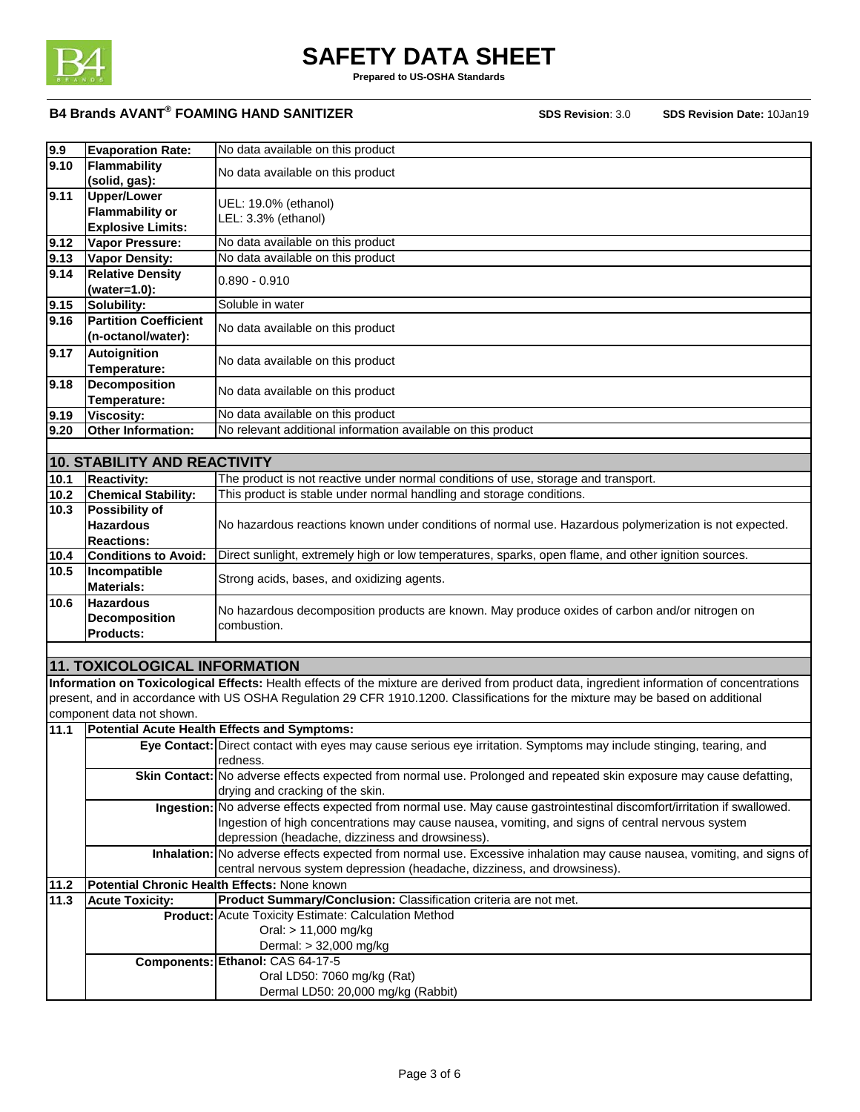

**Prepared to US-OSHA Standards**

| 9.9  | <b>Evaporation Rate:</b>                          | No data available on this product                                                                                                                               |
|------|---------------------------------------------------|-----------------------------------------------------------------------------------------------------------------------------------------------------------------|
| 9.10 | Flammability<br>No data available on this product |                                                                                                                                                                 |
|      | (solid, gas):                                     |                                                                                                                                                                 |
| 9.11 | <b>Upper/Lower</b>                                |                                                                                                                                                                 |
|      | <b>Flammability or</b>                            | UEL: 19.0% (ethanol)                                                                                                                                            |
|      | <b>Explosive Limits:</b>                          | LEL: 3.3% (ethanol)                                                                                                                                             |
| 9.12 | Vapor Pressure:                                   | No data available on this product                                                                                                                               |
| 9.13 | <b>Vapor Density:</b>                             | No data available on this product                                                                                                                               |
| 9.14 | <b>Relative Density</b>                           |                                                                                                                                                                 |
|      | (water=1.0):                                      | $0.890 - 0.910$                                                                                                                                                 |
| 9.15 | Solubility:                                       | Soluble in water                                                                                                                                                |
| 9.16 | <b>Partition Coefficient</b>                      | No data available on this product                                                                                                                               |
|      | (n-octanol/water):                                |                                                                                                                                                                 |
| 9.17 | <b>Autoignition</b>                               |                                                                                                                                                                 |
|      | Temperature:                                      | No data available on this product                                                                                                                               |
| 9.18 | <b>Decomposition</b>                              |                                                                                                                                                                 |
|      | Temperature:                                      | No data available on this product                                                                                                                               |
| 9.19 | <b>Viscosity:</b>                                 | No data available on this product                                                                                                                               |
| 9.20 | Other Information:                                | No relevant additional information available on this product                                                                                                    |
|      |                                                   |                                                                                                                                                                 |
|      | 10. STABILITY AND REACTIVITY                      |                                                                                                                                                                 |
| 10.1 | <b>Reactivity:</b>                                | The product is not reactive under normal conditions of use, storage and transport.                                                                              |
| 10.2 | <b>Chemical Stability:</b>                        | This product is stable under normal handling and storage conditions.                                                                                            |
| 10.3 | <b>Possibility of</b>                             |                                                                                                                                                                 |
|      | <b>Hazardous</b>                                  | No hazardous reactions known under conditions of normal use. Hazardous polymerization is not expected.                                                          |
|      | <b>Reactions:</b>                                 |                                                                                                                                                                 |
| 10.4 | <b>Conditions to Avoid:</b>                       | Direct sunlight, extremely high or low temperatures, sparks, open flame, and other ignition sources.                                                            |
| 10.5 | Incompatible                                      | Strong acids, bases, and oxidizing agents.                                                                                                                      |
|      | <b>Materials:</b>                                 |                                                                                                                                                                 |
| 10.6 | <b>Hazardous</b>                                  | No hazardous decomposition products are known. May produce oxides of carbon and/or nitrogen on                                                                  |
|      | <b>Decomposition</b>                              | combustion.                                                                                                                                                     |
|      | Products:                                         |                                                                                                                                                                 |
|      |                                                   |                                                                                                                                                                 |
|      | <b>11. TOXICOLOGICAL INFORMATION</b>              |                                                                                                                                                                 |
|      |                                                   | Information on Toxicological Effects: Health effects of the mixture are derived from product data, ingredient information of concentrations                     |
|      |                                                   | present, and in accordance with US OSHA Regulation 29 CFR 1910.1200. Classifications for the mixture may be based on additional                                 |
|      | component data not shown.                         |                                                                                                                                                                 |
| 11.1 |                                                   | Potential Acute Health Effects and Symptoms:                                                                                                                    |
|      |                                                   | Eye Contact: Direct contact with eyes may cause serious eye irritation. Symptoms may include stinging, tearing, and<br>redness.                                 |
|      |                                                   |                                                                                                                                                                 |
|      |                                                   | <b>Skin Contact:</b> No adverse effects expected from normal use. Prolonged and repeated skin exposure may cause defatting,<br>drying and cracking of the skin. |
|      |                                                   | Ingestion: No adverse effects expected from normal use. May cause gastrointestinal discomfort/irritation if swallowed.                                          |
|      |                                                   | Ingestion of high concentrations may cause nausea, vomiting, and signs of central nervous system                                                                |
|      |                                                   | depression (headache, dizziness and drowsiness).                                                                                                                |
|      |                                                   | Inhalation: No adverse effects expected from normal use. Excessive inhalation may cause nausea, vomiting, and signs of                                          |
|      |                                                   | central nervous system depression (headache, dizziness, and drowsiness).                                                                                        |
| 11.2 |                                                   | Potential Chronic Health Effects: None known                                                                                                                    |
| 11.3 | <b>Acute Toxicity:</b>                            | Product Summary/Conclusion: Classification criteria are not met.                                                                                                |
|      |                                                   | <b>Product:</b> Acute Toxicity Estimate: Calculation Method                                                                                                     |
|      |                                                   | Oral: > 11,000 mg/kg                                                                                                                                            |
|      |                                                   | Dermal: > 32,000 mg/kg                                                                                                                                          |
|      |                                                   | Components: Ethanol: CAS 64-17-5                                                                                                                                |
|      |                                                   | Oral LD50: 7060 mg/kg (Rat)                                                                                                                                     |
|      |                                                   | Dermal LD50: 20,000 mg/kg (Rabbit)                                                                                                                              |
|      |                                                   |                                                                                                                                                                 |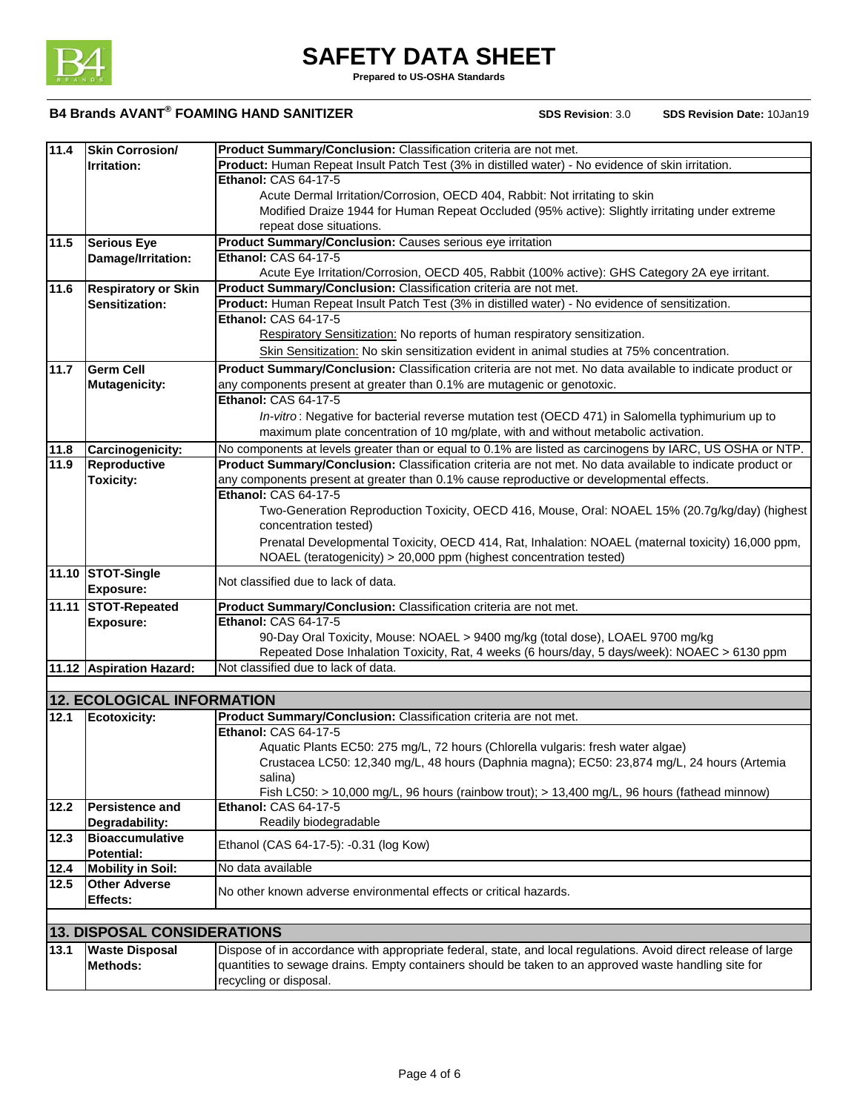

**Prepared to US-OSHA Standards**

| 11.4 | Skin Corrosion/                    | Product Summary/Conclusion: Classification criteria are not met.                                                               |
|------|------------------------------------|--------------------------------------------------------------------------------------------------------------------------------|
|      | <b>Irritation:</b>                 | Product: Human Repeat Insult Patch Test (3% in distilled water) - No evidence of skin irritation.                              |
|      |                                    | Ethanol: CAS 64-17-5                                                                                                           |
|      |                                    | Acute Dermal Irritation/Corrosion, OECD 404, Rabbit: Not irritating to skin                                                    |
|      |                                    | Modified Draize 1944 for Human Repeat Occluded (95% active): Slightly irritating under extreme                                 |
|      |                                    | repeat dose situations.                                                                                                        |
| 11.5 | <b>Serious Eye</b>                 | Product Summary/Conclusion: Causes serious eye irritation                                                                      |
|      | Damage/Irritation:                 | Ethanol: CAS 64-17-5                                                                                                           |
|      |                                    | Acute Eye Irritation/Corrosion, OECD 405, Rabbit (100% active): GHS Category 2A eye irritant.                                  |
| 11.6 | <b>Respiratory or Skin</b>         | Product Summary/Conclusion: Classification criteria are not met.                                                               |
|      | Sensitization:                     | Product: Human Repeat Insult Patch Test (3% in distilled water) - No evidence of sensitization.                                |
|      |                                    | Ethanol: CAS 64-17-5                                                                                                           |
|      |                                    | Respiratory Sensitization: No reports of human respiratory sensitization.                                                      |
|      |                                    | Skin Sensitization: No skin sensitization evident in animal studies at 75% concentration.                                      |
| 11.7 | <b>Germ Cell</b>                   | Product Summary/Conclusion: Classification criteria are not met. No data available to indicate product or                      |
|      | <b>Mutagenicity:</b>               | any components present at greater than 0.1% are mutagenic or genotoxic.                                                        |
|      |                                    | <b>Ethanol: CAS 64-17-5</b>                                                                                                    |
|      |                                    |                                                                                                                                |
|      |                                    | In-vitro: Negative for bacterial reverse mutation test (OECD 471) in Salomella typhimurium up to                               |
|      |                                    | maximum plate concentration of 10 mg/plate, with and without metabolic activation.                                             |
| 11.8 | Carcinogenicity:                   | No components at levels greater than or equal to 0.1% are listed as carcinogens by IARC, US OSHA or NTP.                       |
| 11.9 | Reproductive                       | Product Summary/Conclusion: Classification criteria are not met. No data available to indicate product or                      |
|      | <b>Toxicity:</b>                   | any components present at greater than 0.1% cause reproductive or developmental effects.                                       |
|      |                                    | <b>Ethanol: CAS 64-17-5</b>                                                                                                    |
|      |                                    | Two-Generation Reproduction Toxicity, OECD 416, Mouse, Oral: NOAEL 15% (20.7g/kg/day) (highest                                 |
|      |                                    | concentration tested)                                                                                                          |
|      |                                    | Prenatal Developmental Toxicity, OECD 414, Rat, Inhalation: NOAEL (maternal toxicity) 16,000 ppm,                              |
|      |                                    | NOAEL (teratogenicity) > 20,000 ppm (highest concentration tested)                                                             |
|      | 11.10 STOT-Single                  | Not classified due to lack of data.                                                                                            |
|      | <b>Exposure:</b>                   |                                                                                                                                |
|      | 11.11 STOT-Repeated                | Product Summary/Conclusion: Classification criteria are not met.                                                               |
|      | <b>Exposure:</b>                   | Ethanol: CAS 64-17-5                                                                                                           |
|      |                                    | 90-Day Oral Toxicity, Mouse: NOAEL > 9400 mg/kg (total dose), LOAEL 9700 mg/kg                                                 |
|      |                                    | Repeated Dose Inhalation Toxicity, Rat, 4 weeks (6 hours/day, 5 days/week): NOAEC > 6130 ppm                                   |
|      | 11.12 Aspiration Hazard:           | Not classified due to lack of data.                                                                                            |
|      |                                    |                                                                                                                                |
|      | <b>12. ECOLOGICAL INFORMATION</b>  |                                                                                                                                |
| 12.1 | Ecotoxicity:                       | Product Summary/Conclusion: Classification criteria are not met.                                                               |
|      |                                    | <b>Ethanol: CAS 64-17-5</b>                                                                                                    |
|      |                                    | Aquatic Plants EC50: 275 mg/L, 72 hours (Chlorella vulgaris: fresh water algae)                                                |
|      |                                    | Crustacea LC50: 12,340 mg/L, 48 hours (Daphnia magna); EC50: 23,874 mg/L, 24 hours (Artemia                                    |
|      |                                    | salina)                                                                                                                        |
|      |                                    | Fish LC50: > 10,000 mg/L, 96 hours (rainbow trout); > 13,400 mg/L, 96 hours (fathead minnow)                                   |
| 12.2 | <b>Persistence and</b>             | <b>Ethanol: CAS 64-17-5</b>                                                                                                    |
|      | Degradability:                     | Readily biodegradable                                                                                                          |
| 12.3 | <b>Bioaccumulative</b>             |                                                                                                                                |
|      | Potential:                         | Ethanol (CAS 64-17-5): -0.31 (log Kow)                                                                                         |
| 12.4 |                                    | No data available                                                                                                              |
|      |                                    |                                                                                                                                |
|      | <b>Mobility in Soil:</b>           |                                                                                                                                |
| 12.5 | <b>Other Adverse</b>               | No other known adverse environmental effects or critical hazards.                                                              |
|      | Effects:                           |                                                                                                                                |
|      |                                    |                                                                                                                                |
|      | <b>13. DISPOSAL CONSIDERATIONS</b> |                                                                                                                                |
| 13.1 | <b>Waste Disposal</b>              | Dispose of in accordance with appropriate federal, state, and local regulations. Avoid direct release of large                 |
|      | Methods:                           | quantities to sewage drains. Empty containers should be taken to an approved waste handling site for<br>recycling or disposal. |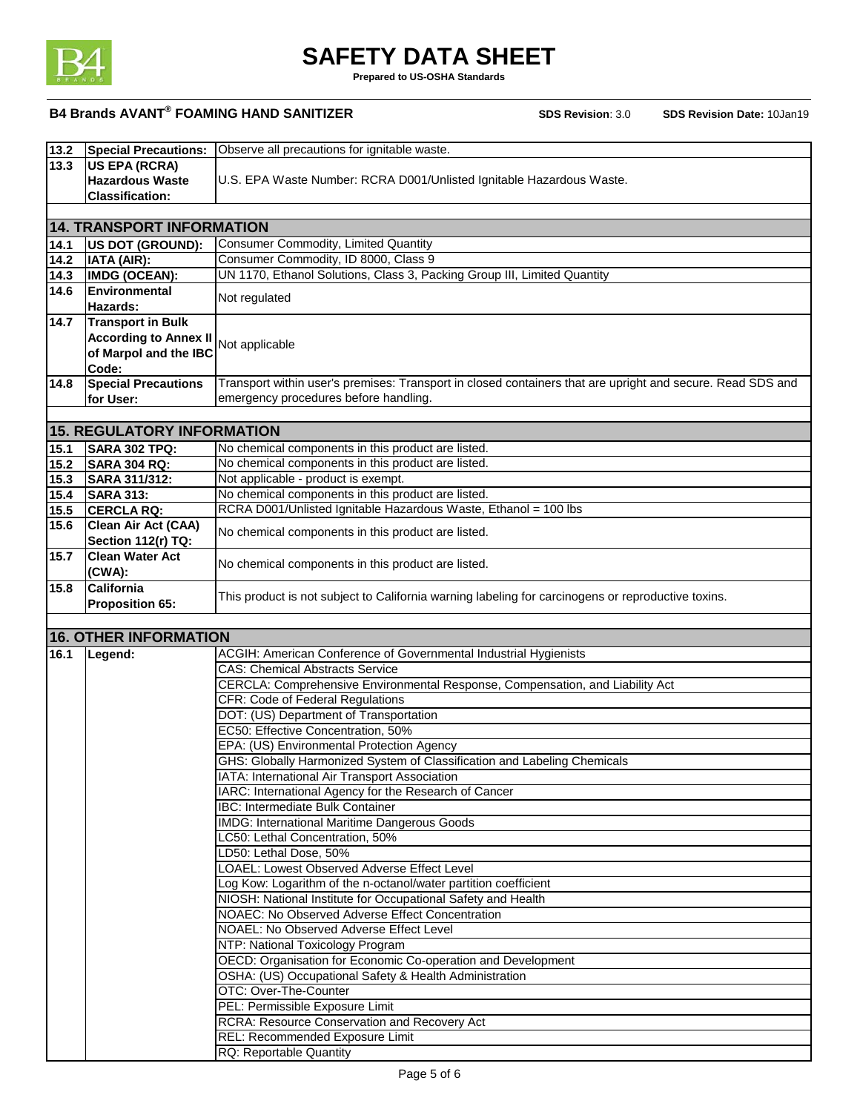

**Prepared to US-OSHA Standards**

| 13.2 | <b>Special Precautions:</b>       | Observe all precautions for ignitable waste.                                                               |
|------|-----------------------------------|------------------------------------------------------------------------------------------------------------|
| 13.3 | <b>US EPA (RCRA)</b>              |                                                                                                            |
|      |                                   |                                                                                                            |
|      | <b>Hazardous Waste</b>            | U.S. EPA Waste Number: RCRA D001/Unlisted Ignitable Hazardous Waste.                                       |
|      | <b>Classification:</b>            |                                                                                                            |
|      |                                   |                                                                                                            |
|      | <b>14. TRANSPORT INFORMATION</b>  |                                                                                                            |
| 14.1 | US DOT (GROUND):                  | <b>Consumer Commodity, Limited Quantity</b>                                                                |
| 14.2 | IATA (AIR):                       | Consumer Commodity, ID 8000, Class 9                                                                       |
| 14.3 | <b>IMDG (OCEAN):</b>              | UN 1170, Ethanol Solutions, Class 3, Packing Group III, Limited Quantity                                   |
| 14.6 | Environmental                     |                                                                                                            |
|      | Hazards:                          | Not regulated                                                                                              |
|      | <b>Transport in Bulk</b>          |                                                                                                            |
| 14.7 |                                   |                                                                                                            |
|      | <b>According to Annex II</b>      | Not applicable                                                                                             |
|      | of Marpol and the IBC             |                                                                                                            |
|      | Code:                             |                                                                                                            |
| 14.8 | <b>Special Precautions</b>        | Transport within user's premises: Transport in closed containers that are upright and secure. Read SDS and |
|      | for User:                         | emergency procedures before handling.                                                                      |
|      |                                   |                                                                                                            |
|      | <b>15. REGULATORY INFORMATION</b> |                                                                                                            |
|      |                                   | No chemical components in this product are listed.                                                         |
| 15.1 | SARA 302 TPQ:                     |                                                                                                            |
| 15.2 | <b>SARA 304 RQ:</b>               | No chemical components in this product are listed.                                                         |
| 15.3 | SARA 311/312:                     | Not applicable - product is exempt.                                                                        |
| 15.4 | <b>SARA 313:</b>                  | No chemical components in this product are listed.                                                         |
| 15.5 | <b>CERCLA RQ:</b>                 | RCRA D001/Unlisted Ignitable Hazardous Waste, Ethanol = 100 lbs                                            |
| 15.6 | Clean Air Act (CAA)               |                                                                                                            |
|      | Section 112(r) TQ:                | No chemical components in this product are listed.                                                         |
| 15.7 | <b>Clean Water Act</b>            |                                                                                                            |
|      | (CWA):                            | No chemical components in this product are listed.                                                         |
| 15.8 | <b>California</b>                 |                                                                                                            |
|      |                                   | This product is not subject to California warning labeling for carcinogens or reproductive toxins.         |
|      | <b>Proposition 65:</b>            |                                                                                                            |
|      |                                   |                                                                                                            |
|      | <b>16. OTHER INFORMATION</b>      |                                                                                                            |
| 16.1 | Legend:                           | ACGIH: American Conference of Governmental Industrial Hygienists                                           |
|      |                                   | <b>CAS: Chemical Abstracts Service</b>                                                                     |
|      |                                   | CERCLA: Comprehensive Environmental Response, Compensation, and Liability Act                              |
|      |                                   | <b>CFR: Code of Federal Regulations</b>                                                                    |
|      |                                   | DOT: (US) Department of Transportation                                                                     |
|      |                                   | EC50: Effective Concentration, 50%                                                                         |
|      |                                   | EPA: (US) Environmental Protection Agency                                                                  |
|      |                                   | GHS: Globally Harmonized System of Classification and Labeling Chemicals                                   |
|      |                                   |                                                                                                            |
|      |                                   | IATA: International Air Transport Association                                                              |
|      |                                   | IARC: International Agency for the Research of Cancer                                                      |
|      |                                   | <b>IBC: Intermediate Bulk Container</b>                                                                    |
|      |                                   | <b>IMDG: International Maritime Dangerous Goods</b>                                                        |
|      |                                   | LC50: Lethal Concentration, 50%                                                                            |
|      |                                   | LD50: Lethal Dose, 50%                                                                                     |
|      |                                   | LOAEL: Lowest Observed Adverse Effect Level                                                                |
|      |                                   | Log Kow: Logarithm of the n-octanol/water partition coefficient                                            |
|      |                                   | NIOSH: National Institute for Occupational Safety and Health                                               |
|      |                                   | <b>NOAEC: No Observed Adverse Effect Concentration</b>                                                     |
|      |                                   | NOAEL: No Observed Adverse Effect Level                                                                    |
|      |                                   | NTP: National Toxicology Program                                                                           |
|      |                                   | OECD: Organisation for Economic Co-operation and Development                                               |
|      |                                   |                                                                                                            |
|      |                                   | OSHA: (US) Occupational Safety & Health Administration                                                     |
|      |                                   | OTC: Over-The-Counter                                                                                      |
|      |                                   | PEL: Permissible Exposure Limit                                                                            |
|      |                                   | <b>RCRA: Resource Conservation and Recovery Act</b>                                                        |
|      |                                   | REL: Recommended Exposure Limit                                                                            |
|      |                                   | RQ: Reportable Quantity                                                                                    |